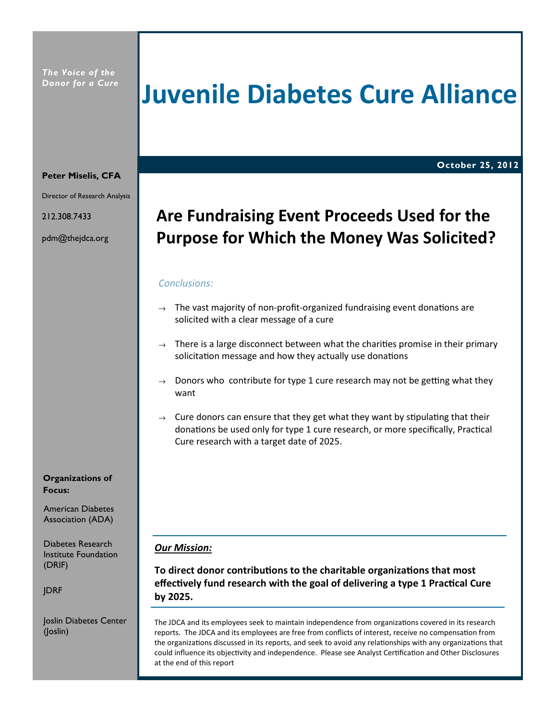## Juvenile Diabetes Cure Alliance

October 25, 2012

### Peter Miselis, CFA

Director of Research Analysis

212.308.7433

pdm@thejdca.org

## Are Fundraising Event Proceeds Used for the Purpose for Which the Money Was Solicited?

### Conclusions:

- $\rightarrow$  The vast majority of non-profit-organized fundraising event donations are solicited with a clear message of a cure
- $\rightarrow$  There is a large disconnect between what the charities promise in their primary solicitation message and how they actually use donations
- Donors who contribute for type 1 cure research may not be getting what they want
- $\rightarrow$  Cure donors can ensure that they get what they want by stipulating that their donations be used only for type 1 cure research, or more specifically, Practical Cure research with a target date of 2025.

### Our Mission:

To direct donor contributions to the charitable organizations that most effectively fund research with the goal of delivering a type 1 Practical Cure by 2025.

The JDCA and its employees seek to maintain independence from organizations covered in its research reports. The JDCA and its employees are free from conflicts of interest, receive no compensation from the organizations discussed in its reports, and seek to avoid any relationships with any organizations that could influence its objectivity and independence. Please see Analyst Certification and Other Disclosures at the end of this report

Organizations of Focus:

American Diabetes Association (ADA)

Diabetes Research Institute Foundation (DRIF)

JDRF

Joslin Diabetes Center (Joslin)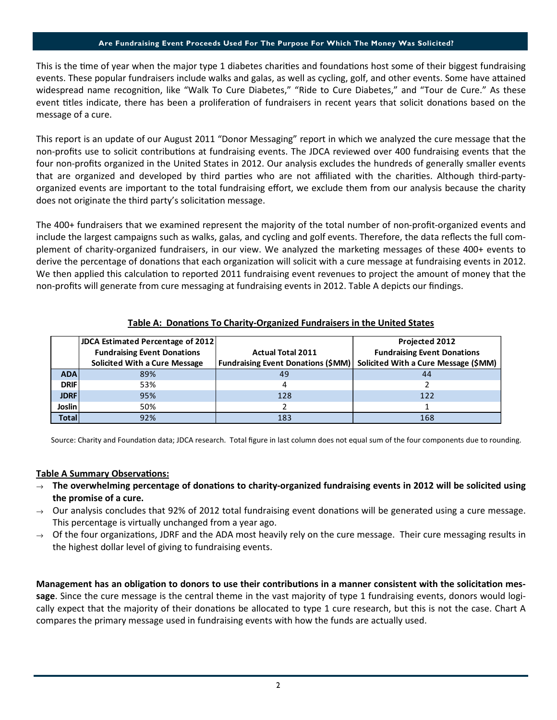### Are Fundraising Event Proceeds Used For The Purpose For Which The Money Was Solicited?

This is the time of year when the major type 1 diabetes charities and foundations host some of their biggest fundraising events. These popular fundraisers include walks and galas, as well as cycling, golf, and other events. Some have attained widespread name recognition, like "Walk To Cure Diabetes," "Ride to Cure Diabetes," and "Tour de Cure." As these event titles indicate, there has been a proliferation of fundraisers in recent years that solicit donations based on the message of a cure.

This report is an update of our August 2011 "Donor Messaging" report in which we analyzed the cure message that the non-profits use to solicit contributions at fundraising events. The JDCA reviewed over 400 fundraising events that the four non-profits organized in the United States in 2012. Our analysis excludes the hundreds of generally smaller events that are organized and developed by third parties who are not affiliated with the charities. Although third-partyorganized events are important to the total fundraising effort, we exclude them from our analysis because the charity does not originate the third party's solicitation message.

The 400+ fundraisers that we examined represent the majority of the total number of non-profit-organized events and include the largest campaigns such as walks, galas, and cycling and golf events. Therefore, the data reflects the full complement of charity-organized fundraisers, in our view. We analyzed the marketing messages of these 400+ events to derive the percentage of donations that each organization will solicit with a cure message at fundraising events in 2012. We then applied this calculation to reported 2011 fundraising event revenues to project the amount of money that the non-profits will generate from cure messaging at fundraising events in 2012. Table A depicts our findings.

|--|

|              | <b>JDCA Estimated Percentage of 2012</b> |                                           | Projected 2012                       |
|--------------|------------------------------------------|-------------------------------------------|--------------------------------------|
|              | <b>Fundraising Event Donations</b>       | <b>Actual Total 2011</b>                  | <b>Fundraising Event Donations</b>   |
|              | Solicited With a Cure Message            | <b>Fundraising Event Donations (\$MM)</b> | Solicited With a Cure Message (\$MM) |
| <b>ADA</b>   | 89%                                      | 49                                        | 44                                   |
| <b>DRIF</b>  | 53%                                      | 4                                         |                                      |
| <b>JDRF</b>  | 95%                                      | 128                                       | 122                                  |
| Joslin       | 50%                                      |                                           |                                      |
| <b>Total</b> | 92%                                      | 183                                       | 168                                  |

Source: Charity and Foundation data; JDCA research. Total figure in last column does not equal sum of the four components due to rounding.

### Table A Summary Observations:

- $\rightarrow$  The overwhelming percentage of donations to charity-organized fundraising events in 2012 will be solicited using the promise of a cure.
- $\rightarrow$  Our analysis concludes that 92% of 2012 total fundraising event donations will be generated using a cure message. This percentage is virtually unchanged from a year ago.
- Of the four organizations, JDRF and the ADA most heavily rely on the cure message. Their cure messaging results in the highest dollar level of giving to fundraising events.

Management has an obligation to donors to use their contributions in a manner consistent with the solicitation message. Since the cure message is the central theme in the vast majority of type 1 fundraising events, donors would logically expect that the majority of their donations be allocated to type 1 cure research, but this is not the case. Chart A compares the primary message used in fundraising events with how the funds are actually used.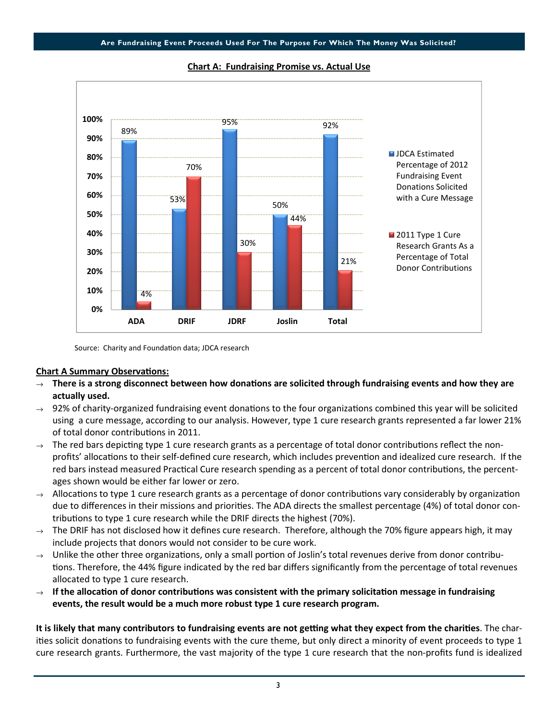

Chart A: Fundraising Promise vs. Actual Use

Source: Charity and Foundation data; JDCA research

### **Chart A Summary Observations:**

- $\rightarrow$  There is a strong disconnect between how donations are solicited through fundraising events and how they are actually used.
- $\rightarrow$  92% of charity-organized fundraising event donations to the four organizations combined this year will be solicited using a cure message, according to our analysis. However, type 1 cure research grants represented a far lower 21% of total donor contributions in 2011.
- $\rightarrow$  The red bars depicting type 1 cure research grants as a percentage of total donor contributions reflect the nonprofits' allocations to their self-defined cure research, which includes prevention and idealized cure research. If the red bars instead measured Practical Cure research spending as a percent of total donor contributions, the percentages shown would be either far lower or zero.
- $\rightarrow$  Allocations to type 1 cure research grants as a percentage of donor contributions vary considerably by organization due to differences in their missions and priorities. The ADA directs the smallest percentage (4%) of total donor contributions to type 1 cure research while the DRIF directs the highest (70%).
- $\rightarrow$  The DRIF has not disclosed how it defines cure research. Therefore, although the 70% figure appears high, it may include projects that donors would not consider to be cure work.
- Unlike the other three organizations, only a small portion of Joslin's total revenues derive from donor contributions. Therefore, the 44% figure indicated by the red bar differs significantly from the percentage of total revenues allocated to type 1 cure research.
- If the allocation of donor contributions was consistent with the primary solicitation message in fundraising events, the result would be a much more robust type 1 cure research program.

It is likely that many contributors to fundraising events are not getting what they expect from the charities. The charities solicit donations to fundraising events with the cure theme, but only direct a minority of event proceeds to type 1 cure research grants. Furthermore, the vast majority of the type 1 cure research that the non-profits fund is idealized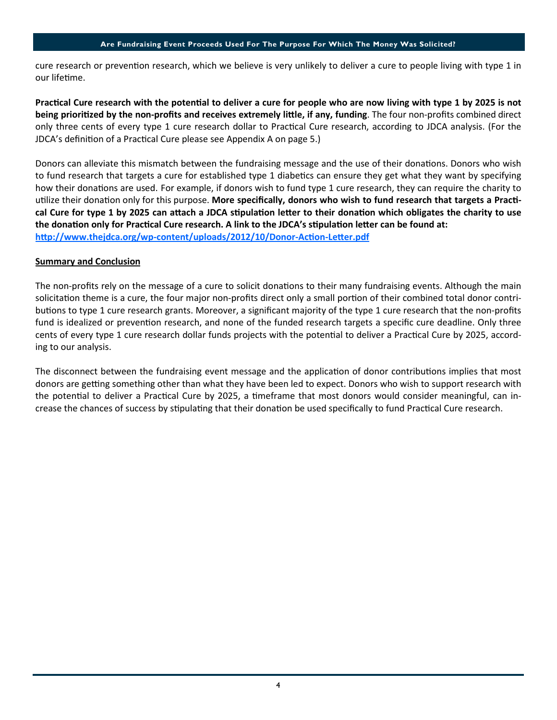### Are Fundraising Event Proceeds Used For The Purpose For Which The Money Was Solicited?

cure research or prevention research, which we believe is very unlikely to deliver a cure to people living with type 1 in our lifetime.

Practical Cure research with the potential to deliver a cure for people who are now living with type 1 by 2025 is not being prioritized by the non-profits and receives extremely little, if any, funding. The four non-profits combined direct only three cents of every type 1 cure research dollar to Practical Cure research, according to JDCA analysis. (For the JDCA's definition of a Practical Cure please see Appendix A on page 5.)

Donors can alleviate this mismatch between the fundraising message and the use of their donations. Donors who wish to fund research that targets a cure for established type 1 diabetics can ensure they get what they want by specifying how their donations are used. For example, if donors wish to fund type 1 cure research, they can require the charity to utilize their donation only for this purpose. More specifically, donors who wish to fund research that targets a Practical Cure for type 1 by 2025 can attach a JDCA stipulation letter to their donation which obligates the charity to use the donation only for Practical Cure research. A link to the JDCA's stipulation letter can be found at: http://www.thejdca.org/wp-content/uploads/2012/10/Donor-Action-Letter.pdf

### Summary and Conclusion

The non-profits rely on the message of a cure to solicit donations to their many fundraising events. Although the main solicitation theme is a cure, the four major non-profits direct only a small portion of their combined total donor contributions to type 1 cure research grants. Moreover, a significant majority of the type 1 cure research that the non-profits fund is idealized or prevention research, and none of the funded research targets a specific cure deadline. Only three cents of every type 1 cure research dollar funds projects with the potential to deliver a Practical Cure by 2025, according to our analysis.

The disconnect between the fundraising event message and the application of donor contributions implies that most donors are getting something other than what they have been led to expect. Donors who wish to support research with the potential to deliver a Practical Cure by 2025, a timeframe that most donors would consider meaningful, can increase the chances of success by stipulating that their donation be used specifically to fund Practical Cure research.